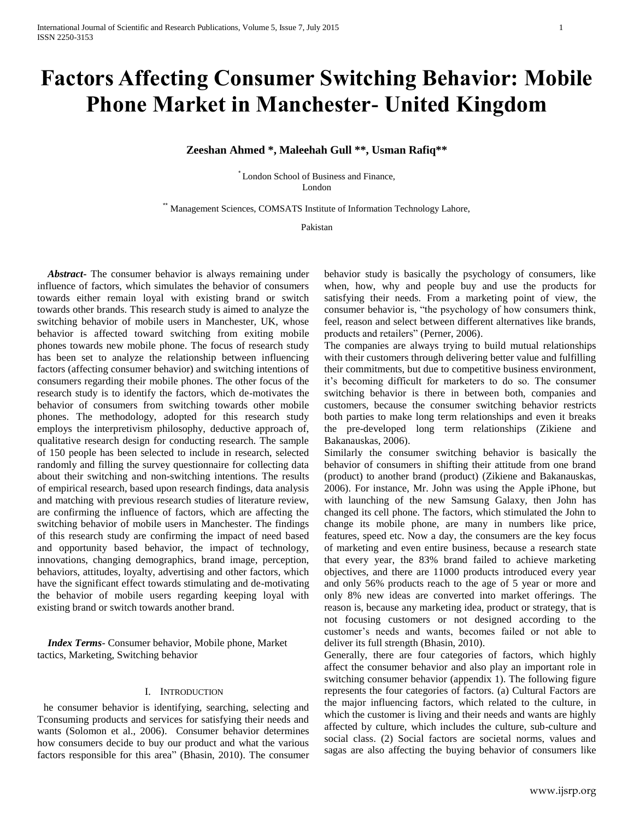# **Factors Affecting Consumer Switching Behavior: Mobile Phone Market in Manchester- United Kingdom**

**Zeeshan Ahmed \*, Maleehah Gull \*\*, Usman Rafiq\*\***

London School of Business and Finance, London

\*\* Management Sciences, COMSATS Institute of Information Technology Lahore,

Pakistan

 *Abstract***-** The consumer behavior is always remaining under influence of factors, which simulates the behavior of consumers towards either remain loyal with existing brand or switch towards other brands. This research study is aimed to analyze the switching behavior of mobile users in Manchester, UK, whose behavior is affected toward switching from exiting mobile phones towards new mobile phone. The focus of research study has been set to analyze the relationship between influencing factors (affecting consumer behavior) and switching intentions of consumers regarding their mobile phones. The other focus of the research study is to identify the factors, which de-motivates the behavior of consumers from switching towards other mobile phones. The methodology, adopted for this research study employs the interpretivism philosophy, deductive approach of, qualitative research design for conducting research. The sample of 150 people has been selected to include in research, selected randomly and filling the survey questionnaire for collecting data about their switching and non-switching intentions. The results of empirical research, based upon research findings, data analysis and matching with previous research studies of literature review, are confirming the influence of factors, which are affecting the switching behavior of mobile users in Manchester. The findings of this research study are confirming the impact of need based and opportunity based behavior, the impact of technology, innovations, changing demographics, brand image, perception, behaviors, attitudes, loyalty, advertising and other factors, which have the significant effect towards stimulating and de-motivating the behavior of mobile users regarding keeping loyal with existing brand or switch towards another brand.

 *Index Terms*- Consumer behavior, Mobile phone, Market tactics, Marketing, Switching behavior

# I. INTRODUCTION

he consumer behavior is identifying, searching, selecting and Tconsuming products and services for satisfying their needs and wants (Solomon et al., 2006). Consumer behavior determines how consumers decide to buy our product and what the various factors responsible for this area" (Bhasin, 2010). The consumer

behavior study is basically the psychology of consumers, like when, how, why and people buy and use the products for satisfying their needs. From a marketing point of view, the consumer behavior is, "the psychology of how consumers think, feel, reason and select between different alternatives like brands, products and retailers" (Perner, 2006).

The companies are always trying to build mutual relationships with their customers through delivering better value and fulfilling their commitments, but due to competitive business environment, it's becoming difficult for marketers to do so. The consumer switching behavior is there in between both, companies and customers, because the consumer switching behavior restricts both parties to make long term relationships and even it breaks the pre-developed long term relationships (Zikiene and Bakanauskas, 2006).

Similarly the consumer switching behavior is basically the behavior of consumers in shifting their attitude from one brand (product) to another brand (product) (Zikiene and Bakanauskas, 2006). For instance, Mr. John was using the Apple iPhone, but with launching of the new Samsung Galaxy, then John has changed its cell phone. The factors, which stimulated the John to change its mobile phone, are many in numbers like price, features, speed etc. Now a day, the consumers are the key focus of marketing and even entire business, because a research state that every year, the 83% brand failed to achieve marketing objectives, and there are 11000 products introduced every year and only 56% products reach to the age of 5 year or more and only 8% new ideas are converted into market offerings. The reason is, because any marketing idea, product or strategy, that is not focusing customers or not designed according to the customer's needs and wants, becomes failed or not able to deliver its full strength (Bhasin, 2010).

Generally, there are four categories of factors, which highly affect the consumer behavior and also play an important role in switching consumer behavior (appendix 1). The following figure represents the four categories of factors. (a) Cultural Factors are the major influencing factors, which related to the culture, in which the customer is living and their needs and wants are highly affected by culture, which includes the culture, sub-culture and social class. (2) Social factors are societal norms, values and sagas are also affecting the buying behavior of consumers like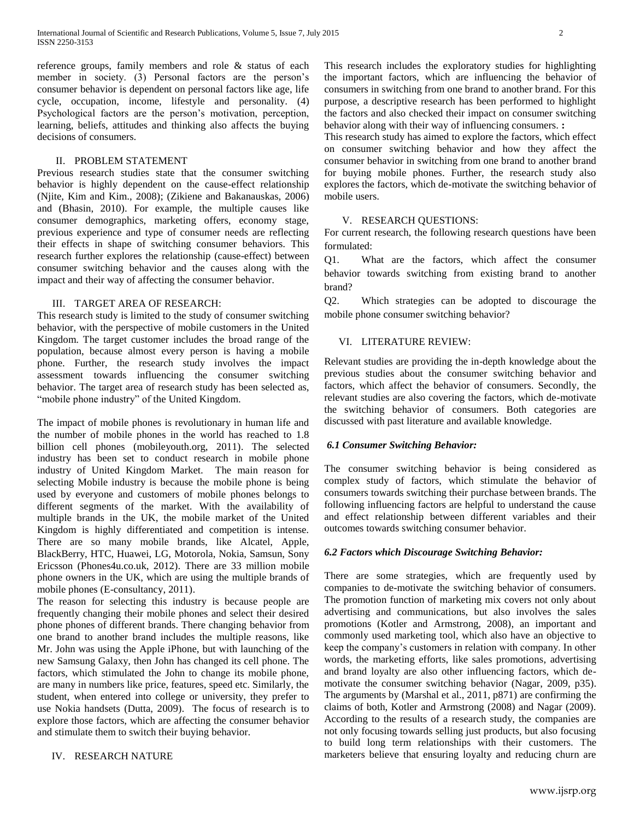reference groups, family members and role & status of each member in society. (3) Personal factors are the person's consumer behavior is dependent on personal factors like age, life cycle, occupation, income, lifestyle and personality. (4) Psychological factors are the person's motivation, perception, learning, beliefs, attitudes and thinking also affects the buying decisions of consumers.

#### II. PROBLEM STATEMENT

Previous research studies state that the consumer switching behavior is highly dependent on the cause-effect relationship (Njite, Kim and Kim., 2008); (Zikiene and Bakanauskas, 2006) and (Bhasin, 2010). For example, the multiple causes like consumer demographics, marketing offers, economy stage, previous experience and type of consumer needs are reflecting their effects in shape of switching consumer behaviors. This research further explores the relationship (cause-effect) between consumer switching behavior and the causes along with the impact and their way of affecting the consumer behavior.

# III. TARGET AREA OF RESEARCH:

This research study is limited to the study of consumer switching behavior, with the perspective of mobile customers in the United Kingdom. The target customer includes the broad range of the population, because almost every person is having a mobile phone. Further, the research study involves the impact assessment towards influencing the consumer switching behavior. The target area of research study has been selected as, "mobile phone industry" of the United Kingdom.

The impact of mobile phones is revolutionary in human life and the number of mobile phones in the world has reached to 1.8 billion cell phones (mobileyouth.org, 2011). The selected industry has been set to conduct research in mobile phone industry of United Kingdom Market. The main reason for selecting Mobile industry is because the mobile phone is being used by everyone and customers of mobile phones belongs to different segments of the market. With the availability of multiple brands in the UK, the mobile market of the United Kingdom is highly differentiated and competition is intense. There are so many mobile brands, like Alcatel, Apple, BlackBerry, HTC, Huawei, LG, Motorola, Nokia, Samsun, Sony Ericsson (Phones4u.co.uk, 2012). There are 33 million mobile phone owners in the UK, which are using the multiple brands of mobile phones (E-consultancy, 2011).

The reason for selecting this industry is because people are frequently changing their mobile phones and select their desired phone phones of different brands. There changing behavior from one brand to another brand includes the multiple reasons, like Mr. John was using the Apple iPhone, but with launching of the new Samsung Galaxy, then John has changed its cell phone. The factors, which stimulated the John to change its mobile phone, are many in numbers like price, features, speed etc. Similarly, the student, when entered into college or university, they prefer to use Nokia handsets (Dutta, 2009). The focus of research is to explore those factors, which are affecting the consumer behavior and stimulate them to switch their buying behavior.

# IV. RESEARCH NATURE

This research includes the exploratory studies for highlighting the important factors, which are influencing the behavior of consumers in switching from one brand to another brand. For this purpose, a descriptive research has been performed to highlight the factors and also checked their impact on consumer switching behavior along with their way of influencing consumers. **:**

This research study has aimed to explore the factors, which effect on consumer switching behavior and how they affect the consumer behavior in switching from one brand to another brand for buying mobile phones. Further, the research study also explores the factors, which de-motivate the switching behavior of mobile users.

#### V. RESEARCH QUESTIONS:

For current research, the following research questions have been formulated:

Q1. What are the factors, which affect the consumer behavior towards switching from existing brand to another brand?

Q2. Which strategies can be adopted to discourage the mobile phone consumer switching behavior?

# VI. LITERATURE REVIEW:

Relevant studies are providing the in-depth knowledge about the previous studies about the consumer switching behavior and factors, which affect the behavior of consumers. Secondly, the relevant studies are also covering the factors, which de-motivate the switching behavior of consumers. Both categories are discussed with past literature and available knowledge.

# *6.1 Consumer Switching Behavior:*

The consumer switching behavior is being considered as complex study of factors, which stimulate the behavior of consumers towards switching their purchase between brands. The following influencing factors are helpful to understand the cause and effect relationship between different variables and their outcomes towards switching consumer behavior.

# *6.2 Factors which Discourage Switching Behavior:*

There are some strategies, which are frequently used by companies to de-motivate the switching behavior of consumers. The promotion function of marketing mix covers not only about advertising and communications, but also involves the sales promotions (Kotler and Armstrong, 2008), an important and commonly used marketing tool, which also have an objective to keep the company's customers in relation with company. In other words, the marketing efforts, like sales promotions, advertising and brand loyalty are also other influencing factors, which demotivate the consumer switching behavior (Nagar, 2009, p35). The arguments by (Marshal et al., 2011, p871) are confirming the claims of both, Kotler and Armstrong (2008) and Nagar (2009). According to the results of a research study, the companies are not only focusing towards selling just products, but also focusing to build long term relationships with their customers. The marketers believe that ensuring loyalty and reducing churn are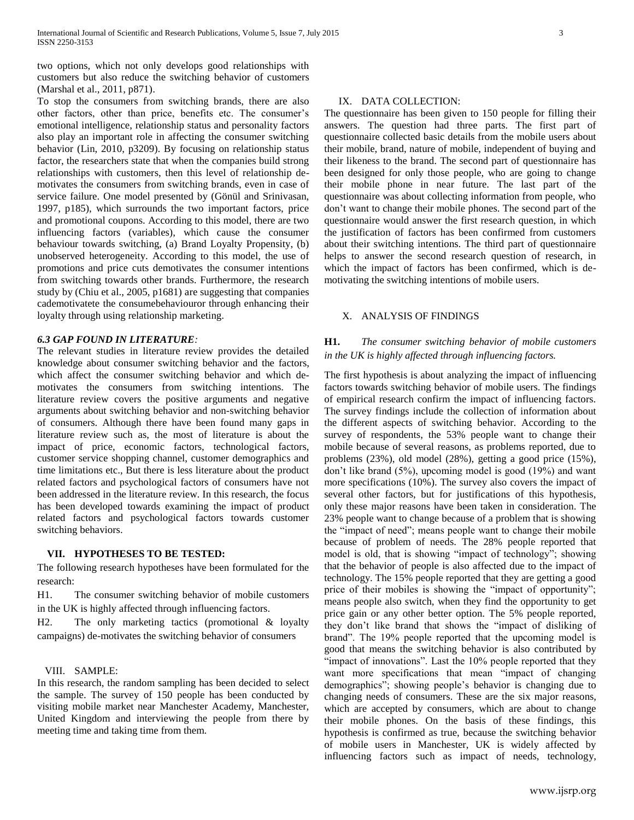two options, which not only develops good relationships with customers but also reduce the switching behavior of customers (Marshal et al., 2011, p871).

To stop the consumers from switching brands, there are also other factors, other than price, benefits etc. The consumer's emotional intelligence, relationship status and personality factors also play an important role in affecting the consumer switching behavior (Lin, 2010, p3209). By focusing on relationship status factor, the researchers state that when the companies build strong relationships with customers, then this level of relationship demotivates the consumers from switching brands, even in case of service failure. One model presented by (Gönül and Srinivasan, 1997, p185), which surrounds the two important factors, price and promotional coupons. According to this model, there are two influencing factors (variables), which cause the consumer behaviour towards switching, (a) Brand Loyalty Propensity, (b) unobserved heterogeneity. According to this model, the use of promotions and price cuts demotivates the consumer intentions from switching towards other brands. Furthermore, the research study by (Chiu et al., 2005, p1681) are suggesting that companies cademotivatete the consumebehaviouror through enhancing their loyalty through using relationship marketing.

# *6.3 GAP FOUND IN LITERATURE:*

The relevant studies in literature review provides the detailed knowledge about consumer switching behavior and the factors, which affect the consumer switching behavior and which demotivates the consumers from switching intentions. The literature review covers the positive arguments and negative arguments about switching behavior and non-switching behavior of consumers. Although there have been found many gaps in literature review such as, the most of literature is about the impact of price, economic factors, technological factors, customer service shopping channel, customer demographics and time limitations etc., But there is less literature about the product related factors and psychological factors of consumers have not been addressed in the literature review. In this research, the focus has been developed towards examining the impact of product related factors and psychological factors towards customer switching behaviors.

#### **VII. HYPOTHESES TO BE TESTED:**

The following research hypotheses have been formulated for the research:

H1. The consumer switching behavior of mobile customers in the UK is highly affected through influencing factors.

H2. The only marketing tactics (promotional & loyalty campaigns) de-motivates the switching behavior of consumers

# VIII. SAMPLE:

In this research, the random sampling has been decided to select the sample. The survey of 150 people has been conducted by visiting mobile market near Manchester Academy, Manchester, United Kingdom and interviewing the people from there by meeting time and taking time from them.

# IX. DATA COLLECTION:

The questionnaire has been given to 150 people for filling their answers. The question had three parts. The first part of questionnaire collected basic details from the mobile users about their mobile, brand, nature of mobile, independent of buying and their likeness to the brand. The second part of questionnaire has been designed for only those people, who are going to change their mobile phone in near future. The last part of the questionnaire was about collecting information from people, who don't want to change their mobile phones. The second part of the questionnaire would answer the first research question, in which the justification of factors has been confirmed from customers about their switching intentions. The third part of questionnaire helps to answer the second research question of research, in which the impact of factors has been confirmed, which is demotivating the switching intentions of mobile users.

#### X. ANALYSIS OF FINDINGS

# **H1.** *The consumer switching behavior of mobile customers in the UK is highly affected through influencing factors.*

The first hypothesis is about analyzing the impact of influencing factors towards switching behavior of mobile users. The findings of empirical research confirm the impact of influencing factors. The survey findings include the collection of information about the different aspects of switching behavior. According to the survey of respondents, the 53% people want to change their mobile because of several reasons, as problems reported, due to problems (23%), old model (28%), getting a good price (15%), don't like brand (5%), upcoming model is good (19%) and want more specifications (10%). The survey also covers the impact of several other factors, but for justifications of this hypothesis, only these major reasons have been taken in consideration. The 23% people want to change because of a problem that is showing the "impact of need"; means people want to change their mobile because of problem of needs. The 28% people reported that model is old, that is showing "impact of technology"; showing that the behavior of people is also affected due to the impact of technology. The 15% people reported that they are getting a good price of their mobiles is showing the "impact of opportunity"; means people also switch, when they find the opportunity to get price gain or any other better option. The 5% people reported, they don't like brand that shows the "impact of disliking of brand". The 19% people reported that the upcoming model is good that means the switching behavior is also contributed by "impact of innovations". Last the 10% people reported that they want more specifications that mean "impact of changing demographics"; showing people's behavior is changing due to changing needs of consumers. These are the six major reasons, which are accepted by consumers, which are about to change their mobile phones. On the basis of these findings, this hypothesis is confirmed as true, because the switching behavior of mobile users in Manchester, UK is widely affected by influencing factors such as impact of needs, technology,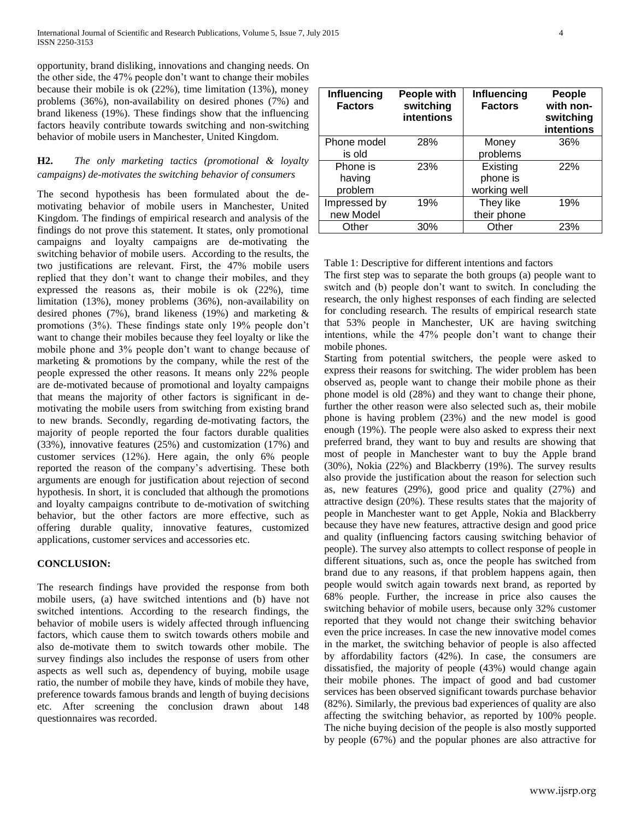opportunity, brand disliking, innovations and changing needs. On the other side, the 47% people don't want to change their mobiles because their mobile is ok (22%), time limitation (13%), money problems (36%), non-availability on desired phones (7%) and brand likeness (19%). These findings show that the influencing factors heavily contribute towards switching and non-switching behavior of mobile users in Manchester, United Kingdom.

# **H2.** *The only marketing tactics (promotional & loyalty campaigns) de-motivates the switching behavior of consumers*

The second hypothesis has been formulated about the demotivating behavior of mobile users in Manchester, United Kingdom. The findings of empirical research and analysis of the findings do not prove this statement. It states, only promotional campaigns and loyalty campaigns are de-motivating the switching behavior of mobile users. According to the results, the two justifications are relevant. First, the 47% mobile users replied that they don't want to change their mobiles, and they expressed the reasons as, their mobile is ok (22%), time limitation (13%), money problems (36%), non-availability on desired phones (7%), brand likeness (19%) and marketing & promotions (3%). These findings state only 19% people don't want to change their mobiles because they feel loyalty or like the mobile phone and 3% people don't want to change because of marketing & promotions by the company, while the rest of the people expressed the other reasons. It means only 22% people are de-motivated because of promotional and loyalty campaigns that means the majority of other factors is significant in demotivating the mobile users from switching from existing brand to new brands. Secondly, regarding de-motivating factors, the majority of people reported the four factors durable qualities (33%), innovative features (25%) and customization (17%) and customer services (12%). Here again, the only 6% people reported the reason of the company's advertising. These both arguments are enough for justification about rejection of second hypothesis. In short, it is concluded that although the promotions and loyalty campaigns contribute to de-motivation of switching behavior, but the other factors are more effective, such as offering durable quality, innovative features, customized applications, customer services and accessories etc.

# **CONCLUSION:**

The research findings have provided the response from both mobile users, (a) have switched intentions and (b) have not switched intentions. According to the research findings, the behavior of mobile users is widely affected through influencing factors, which cause them to switch towards others mobile and also de-motivate them to switch towards other mobile. The survey findings also includes the response of users from other aspects as well such as, dependency of buying, mobile usage ratio, the number of mobile they have, kinds of mobile they have, preference towards famous brands and length of buying decisions etc. After screening the conclusion drawn about 148 questionnaires was recorded.

| Influencing<br><b>Factors</b> | People with<br>switching<br>intentions | Influencing<br><b>Factors</b> | People<br>with non-<br>switching<br>intentions |
|-------------------------------|----------------------------------------|-------------------------------|------------------------------------------------|
| Phone model                   | 28%                                    | Money                         | 36%                                            |
| is old                        |                                        | problems                      |                                                |
| Phone is                      | 23%                                    | Existing                      | 22%                                            |
| having                        |                                        | phone is                      |                                                |
| problem                       |                                        | working well                  |                                                |
| Impressed by                  | 19%                                    | They like                     | 19%                                            |
| new Model                     |                                        | their phone                   |                                                |
| Other                         | 30%                                    | Other                         | 23%                                            |

# Table 1: Descriptive for different intentions and factors

The first step was to separate the both groups (a) people want to switch and (b) people don't want to switch. In concluding the research, the only highest responses of each finding are selected for concluding research. The results of empirical research state that 53% people in Manchester, UK are having switching intentions, while the 47% people don't want to change their mobile phones.

Starting from potential switchers, the people were asked to express their reasons for switching. The wider problem has been observed as, people want to change their mobile phone as their phone model is old (28%) and they want to change their phone, further the other reason were also selected such as, their mobile phone is having problem (23%) and the new model is good enough (19%). The people were also asked to express their next preferred brand, they want to buy and results are showing that most of people in Manchester want to buy the Apple brand (30%), Nokia (22%) and Blackberry (19%). The survey results also provide the justification about the reason for selection such as, new features (29%), good price and quality (27%) and attractive design (20%). These results states that the majority of people in Manchester want to get Apple, Nokia and Blackberry because they have new features, attractive design and good price and quality (influencing factors causing switching behavior of people). The survey also attempts to collect response of people in different situations, such as, once the people has switched from brand due to any reasons, if that problem happens again, then people would switch again towards next brand, as reported by 68% people. Further, the increase in price also causes the switching behavior of mobile users, because only 32% customer reported that they would not change their switching behavior even the price increases. In case the new innovative model comes in the market, the switching behavior of people is also affected by affordability factors (42%). In case, the consumers are dissatisfied, the majority of people (43%) would change again their mobile phones. The impact of good and bad customer services has been observed significant towards purchase behavior (82%). Similarly, the previous bad experiences of quality are also affecting the switching behavior, as reported by 100% people. The niche buying decision of the people is also mostly supported by people (67%) and the popular phones are also attractive for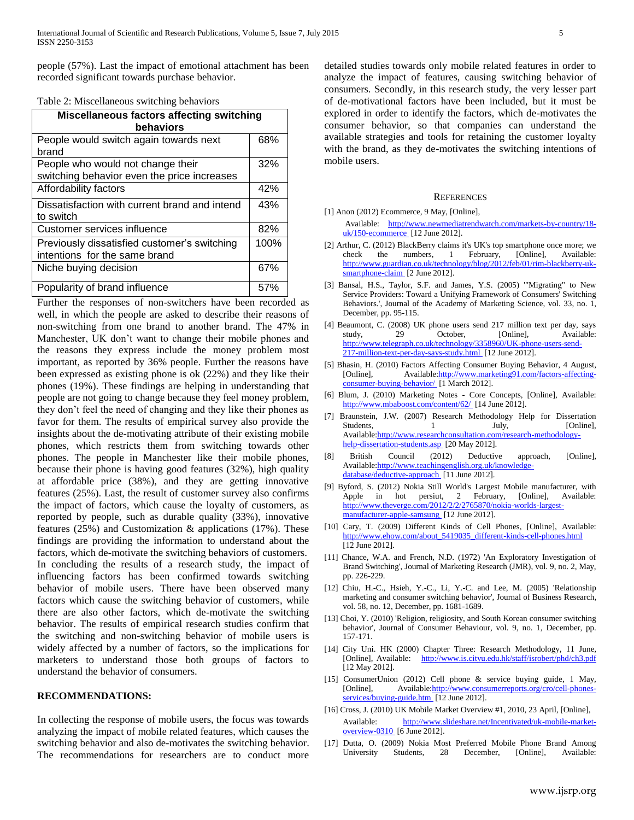people (57%). Last the impact of emotional attachment has been recorded significant towards purchase behavior.

Table 2: Miscellaneous switching behaviors

| Miscellaneous factors affecting switching<br>behaviors |      |  |  |
|--------------------------------------------------------|------|--|--|
| People would switch again towards next                 | 68%  |  |  |
| brand                                                  |      |  |  |
| People who would not change their                      | 32%  |  |  |
| switching behavior even the price increases            |      |  |  |
| Affordability factors                                  | 42%  |  |  |
| Dissatisfaction with current brand and intend          | 43%  |  |  |
| to switch                                              |      |  |  |
| Customer services influence                            | 82%  |  |  |
| Previously dissatisfied customer's switching           | 100% |  |  |
| intentions for the same brand                          |      |  |  |
| Niche buying decision                                  | 67%  |  |  |
| Popularity of brand influence                          | .57% |  |  |

Further the responses of non-switchers have been recorded as well, in which the people are asked to describe their reasons of non-switching from one brand to another brand. The 47% in Manchester, UK don't want to change their mobile phones and the reasons they express include the money problem most important, as reported by 36% people. Further the reasons have been expressed as existing phone is ok (22%) and they like their phones (19%). These findings are helping in understanding that people are not going to change because they feel money problem, they don't feel the need of changing and they like their phones as favor for them. The results of empirical survey also provide the insights about the de-motivating attribute of their existing mobile phones, which restricts them from switching towards other phones. The people in Manchester like their mobile phones, because their phone is having good features (32%), high quality at affordable price (38%), and they are getting innovative features (25%). Last, the result of customer survey also confirms the impact of factors, which cause the loyalty of customers, as reported by people, such as durable quality (33%), innovative features (25%) and Customization  $\&$  applications (17%). These findings are providing the information to understand about the factors, which de-motivate the switching behaviors of customers. In concluding the results of a research study, the impact of influencing factors has been confirmed towards switching behavior of mobile users. There have been observed many factors which cause the switching behavior of customers, while there are also other factors, which de-motivate the switching behavior. The results of empirical research studies confirm that the switching and non-switching behavior of mobile users is widely affected by a number of factors, so the implications for marketers to understand those both groups of factors to understand the behavior of consumers.

# **RECOMMENDATIONS:**

In collecting the response of mobile users, the focus was towards analyzing the impact of mobile related features, which causes the switching behavior and also de-motivates the switching behavior. The recommendations for researchers are to conduct more

detailed studies towards only mobile related features in order to analyze the impact of features, causing switching behavior of consumers. Secondly, in this research study, the very lesser part of de-motivational factors have been included, but it must be explored in order to identify the factors, which de-motivates the consumer behavior, so that companies can understand the available strategies and tools for retaining the customer loyalty with the brand, as they de-motivates the switching intentions of mobile users.

#### **REFERENCES**

- [1] Anon (2012) Ecommerce, 9 May, [Online], Available: http://www.newmediatrendwatch.com/markets-by-country/18 uk/150-ecommerce [12 June 2012].
- [2] Arthur, C. (2012) BlackBerry claims it's UK's top smartphone once more; we check the numbers, 1 February, [Online], Available: check the numbers, 1 February, [Online], Available: http://www.guardian.co.uk/technology/blog/2012/feb/01/rim-blackberry-uksmartphone-claim [2 June 2012].
- [3] Bansal, H.S., Taylor, S.F. and James, Y.S. (2005) '"Migrating" to New Service Providers: Toward a Unifying Framework of Consumers' Switching Behaviors.', Journal of the Academy of Marketing Science, vol. 33, no. 1, December, pp. 95-115.
- [4] Beaumont, C. (2008) UK phone users send 217 million text per day, says study, 29 October, [Online], Available: http://www.telegraph.co.uk/technology/3358960/UK-phone-users-send-217-million-text-per-day-says-study.html [12 June 2012].
- [5] Bhasin, H. (2010) Factors Affecting Consumer Buying Behavior, 4 August, [Online], Available:http://www.marketing91.com/factors-affectingconsumer-buying-behavior/ [1 March 2012].
- [6] Blum, J. (2010) Marketing Notes Core Concepts, [Online], Available: http://www.mbaboost.com/content/62/ [14 June 2012].
- [7] Braunstein, J.W. (2007) Research Methodology Help for Dissertation Students, 1 July, July, [Online], Available:http://www.researchconsultation.com/research-methodologyhelp-dissertation-students.asp [20 May 2012].
- [8] British Council (2012) Deductive approach, [Online], Available:http://www.teachingenglish.org.uk/knowledgedatabase/deductive-approach [11 June 2012].
- [9] Byford, S. (2012) Nokia Still World's Largest Mobile manufacturer, with Apple in hot persiut, 2 February, [Online], Available: http://www.theverge.com/2012/2/2/2765870/nokia-worlds-largestmanufacturer-apple-samsung [12 June 2012].
- [10] Cary, T. (2009) Different Kinds of Cell Phones, [Online], Available: http://www.ehow.com/about\_5419035\_different-kinds-cell-phones.html [12 June 2012].
- [11] Chance, W.A. and French, N.D. (1972) 'An Exploratory Investigation of Brand Switching', Journal of Marketing Research (JMR), vol. 9, no. 2, May, pp. 226-229.
- [12] Chiu, H.-C., Hsieh, Y.-C., Li, Y.-C. and Lee, M. (2005) 'Relationship marketing and consumer switching behavior', Journal of Business Research, vol. 58, no. 12, December, pp. 1681-1689.
- [13] Choi, Y. (2010) 'Religion, religiosity, and South Korean consumer switching behavior', Journal of Consumer Behaviour, vol. 9, no. 1, December, pp. 157-171.
- [14] City Uni. HK (2000) Chapter Three: Research Methodology, 11 June, [Online], Available: http://www.is.cityu.edu.hk/staff/isrobert/phd/ch3.pdf [12 May 2012].
- [15] ConsumerUnion (2012) Cell phone & service buying guide, 1 May, [Online], Available:http://www.consumerreports.org/cro/cell-phonesservices/buying-guide.htm [12 June 2012].
- [16] Cross, J. (2010) UK Mobile Market Overview #1, 2010, 23 April, [Online], Available: http://www.slideshare.net/Incentivated/uk-mobile-marketoverview-0310 [6 June 2012].
- [17] Dutta, O. (2009) Nokia Most Preferred Mobile Phone Brand Among University Students, 28 December, [Online], Available: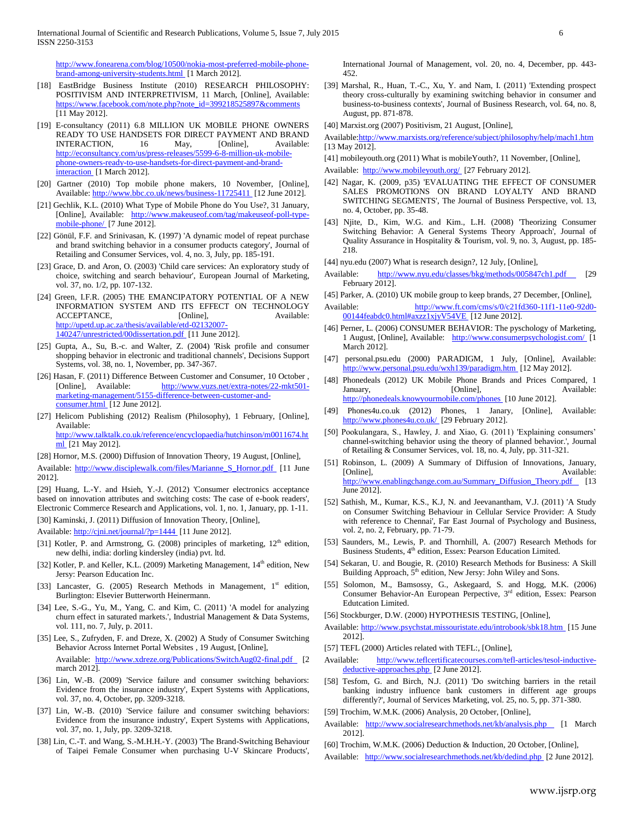http://www.fonearena.com/blog/10500/nokia-most-preferred-mobile-phonebrand-among-university-students.html [1 March 2012].

- [18] EastBridge Business Institute (2010) RESEARCH PHILOSOPHY: POSITIVISM AND INTERPRETIVISM, 11 March, [Online], Available: https://www.facebook.com/note.php?note\_id=399218525897&comments [11 May 2012].
- [19] E-consultancy (2011) 6.8 MILLION UK MOBILE PHONE OWNERS READY TO USE HANDSETS FOR DIRECT PAYMENT AND BRAND INTERACTION, 16 May, [Online], Available: INTERACTION, 16 May, [Online], Available: http://econsultancy.com/us/press-releases/5599-6-8-million-uk-mobilephone-owners-ready-to-use-handsets-for-direct-payment-and-brandinteraction [1 March 2012].
- [20] Gartner (2010) Top mobile phone makers, 10 November, [Online], Available: http://www.bbc.co.uk/news/business-11725411 [12 June 2012].
- [21] Gechlik, K.L. (2010) What Type of Mobile Phone do You Use?, 31 January, [Online], Available: http://www.makeuseof.com/tag/makeuseof-poll-typemobile-phone/ [7 June 2012].
- [22] Gönül, F.F. and Srinivasan, K. (1997) 'A dynamic model of repeat purchase and brand switching behavior in a consumer products category', Journal of Retailing and Consumer Services, vol. 4, no. 3, July, pp. 185-191.
- [23] Grace, D. and Aron, O. (2003) 'Child care services: An exploratory study of choice, switching and search behaviour', European Journal of Marketing, vol. 37, no. 1/2, pp. 107-132.
- [24] Green, I.F.R. (2005) THE EMANCIPATORY POTENTIAL OF A NEW INFORMATION SYSTEM AND ITS EFFECT ON TECHNOLOGY ACCEPTANCE, [Online], Available: http://upetd.up.ac.za/thesis/available/etd-02132007- 140247/unrestricted/00dissertation.pdf [11 June 2012].
- [25] Gupta, A., Su, B.-c. and Walter, Z. (2004) 'Risk profile and consumer shopping behavior in electronic and traditional channels', Decisions Support Systems, vol. 38, no. 1, November, pp. 347-367.
- [26] Hasan, F. (2011) Difference Between Customer and Consumer, 10 October , [Online], Available: http://www.vuzs.net/extra-notes/22-mkt501marketing-management/5155-difference-between-customer-andconsumer.html [12 June 2012].
- [27] Helicom Publishing (2012) Realism (Philosophy), 1 February, [Online], Available: http://www.talktalk.co.uk/reference/encyclopaedia/hutchinson/m0011674.ht ml [21 May 2012].

[28] Hornor, M.S. (2000) Diffusion of Innovation Theory, 19 August, [Online],

Available: http://www.disciplewalk.com/files/Marianne\_S\_Hornor.pdf [11 June 2012].

[29] Huang, L.-Y. and Hsieh, Y.-J. (2012) 'Consumer electronics acceptance based on innovation attributes and switching costs: The case of e-book readers', Electronic Commerce Research and Applications, vol. 1, no. 1, January, pp. 1-11.

[30] Kaminski, J. (2011) Diffusion of Innovation Theory, [Online],

Available: http://cjni.net/journal/?p=1444 [11 June 2012].

- [31] Kotler, P. and Armstrong, G. (2008) principles of marketing,  $12<sup>th</sup>$  edition, new delhi, india: dorling kindersley (india) pvt. ltd.
- [32] Kotler, P. and Keller, K.L. (2009) Marketing Management, 14<sup>th</sup> edition, New Jersy: Pearson Education Inc.
- [33] Lancaster, G. (2005) Research Methods in Management, 1<sup>st</sup> edition, Burlington: Elsevier Butterworth Heinermann.
- [34] Lee, S.-G., Yu, M., Yang, C. and Kim, C. (2011) 'A model for analyzing churn effect in saturated markets.', Industrial Management & Data Systems, vol. 111, no. 7, July, p. 2011.
- [35] Lee, S., Zufryden, F. and Dreze, X. (2002) A Study of Consumer Switching Behavior Across Internet Portal Websites , 19 August, [Online], Available: http://www.xdreze.org/Publications/SwitchAug02-final.pdf [2 march 2012].
- [36] Lin, W.-B. (2009) 'Service failure and consumer switching behaviors: Evidence from the insurance industry', Expert Systems with Applications, vol. 37, no. 4, October, pp. 3209-3218.
- [37] Lin, W.-B. (2010) 'Service failure and consumer switching behaviors: Evidence from the insurance industry', Expert Systems with Applications, vol. 37, no. 1, July, pp. 3209-3218.
- [38] Lin, C.-T. and Wang, S.-M.H.H.-Y. (2003) 'The Brand-Switching Behaviour of Taipei Female Consumer when purchasing U-V Skincare Products',

International Journal of Management, vol. 20, no. 4, December, pp. 443- 452.

- [39] Marshal, R., Huan, T.-C., Xu, Y. and Nam, I. (2011) 'Extending prospect theory cross-culturally by examining switching behavior in consumer and business-to-business contexts', Journal of Business Research, vol. 64, no. 8, August, pp. 871-878.
- [40] Marxist.org (2007) Positivism, 21 August, [Online],
- Available:http://www.marxists.org/reference/subject/philosophy/help/mach1.htm [13 May 2012].
- [41] mobileyouth.org (2011) What is mobileYouth?, 11 November, [Online],

Available: http://www.mobileyouth.org/ [27 February 2012].

- [42] Nagar, K. (2009, p35) 'EVALUATING THE EFFECT OF CONSUMER SALES PROMOTIONS ON BRAND LOYALTY AND BRAND SWITCHING SEGMENTS', The Journal of Business Perspective, vol. 13, no. 4, October, pp. 35-48.
- [43] Njite, D., Kim, W.G. and Kim., L.H. (2008) 'Theorizing Consumer Switching Behavior: A General Systems Theory Approach', Journal of Quality Assurance in Hospitality & Tourism, vol. 9, no. 3, August, pp. 185- 218.
- [44] nyu.edu (2007) What is research design?, 12 July, [Online],
- Available: http://www.nyu.edu/classes/bkg/methods/005847ch1.pdf [29] February 2012].
- [45] Parker, A. (2010) UK mobile group to keep brands, 27 December, [Online],
- Available: http://www.ft.com/cms/s/0/c21fd360-11f1-11e0-92d0-00144feabdc0.html#axzz1xjyV54VE [12 June 2012].
- [46] Perner, L. (2006) CONSUMER BEHAVIOR: The pyschology of Marketing, 1 August, [Online], Available: http://www.consumerpsychologist.com/ [1 March 2012].
- [47] personal.psu.edu (2000) PARADIGM, 1 July, [Online], Available: http://www.personal.psu.edu/wxh139/paradigm.htm [12 May 2012].
- [48] Phonedeals (2012) UK Mobile Phone Brands and Prices Compared, 1 [Online], Available: http://phonedeals.knowyourmobile.com/phones [10 June 2012].
- [49] Phones4u.co.uk (2012) Phones, 1 Janary, [Online], Available: http://www.phones4u.co.uk/ [29 February 2012].
- [50] Pookulangara, S., Hawley, J. and Xiao, G. (2011) 'Explaining consumers' channel-switching behavior using the theory of planned behavior.', Journal of Retailing & Consumer Services, vol. 18, no. 4, July, pp. 311-321.
- [51] Robinson, L. (2009) A Summary of Diffusion of Innovations, January, [Online], Available: http://www.enablingchange.com.au/Summary\_Diffusion\_Theory.pdf [13] June 2012].
- [52] Sathish, M., Kumar, K.S., K.J, N. and Jeevanantham, V.J. (2011) 'A Study on Consumer Switching Behaviour in Cellular Service Provider: A Study with reference to Chennai', Far East Journal of Psychology and Business, vol. 2, no. 2, February, pp. 71-79.
- [53] Saunders, M., Lewis, P. and Thornhill, A. (2007) Research Methods for Business Students, 4<sup>th</sup> edition, Essex: Pearson Education Limited.
- [54] Sekaran, U. and Bougie, R. (2010) Research Methods for Business: A Skill Building Approach, 5<sup>th</sup> edition, New Jersy: John Wiley and Sons.
- [55] Solomon, M., Bamsossy, G., Askegaard, S. and Hogg, M.K. (2006) Consumer Behavior-An European Perpective, 3<sup>rd</sup> edition, Essex: Pearson Edutcation Limited.
- [56] Stockburger, D.W. (2000) HYPOTHESIS TESTING, [Online],
- Available: http://www.psychstat.missouristate.edu/introbook/sbk18.htm [15 June 2012].
- [57] TEFL (2000) Articles related with TEFL:, [Online],
- Available: http://www.teflcertificatecourses.com/tefl-articles/tesol-inductivedeductive-approaches.php [2 June 2012].
- [58] Tesfom, G. and Birch, N.J. (2011) 'Do switching barriers in the retail banking industry influence bank customers in different age groups differently?', Journal of Services Marketing, vol. 25, no. 5, pp. 371-380.
- [59] Trochim, W.M.K. (2006) Analysis, 20 October, [Online],
- Available: http://www.socialresearchmethods.net/kb/analysis.php [1 March 2012].
- [60] Trochim, W.M.K. (2006) Deduction & Induction, 20 October, [Online],
- Available: http://www.socialresearchmethods.net/kb/dedind.php [2 June 2012].